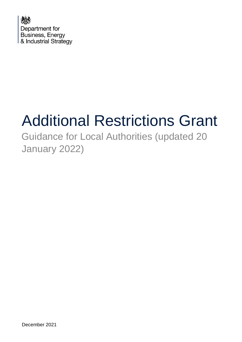

# Additional Restrictions Grant

# Guidance for Local Authorities (updated 20 January 2022)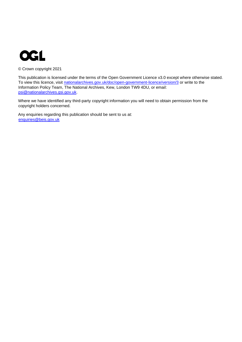

© Crown copyright 2021

This publication is licensed under the terms of the Open Government Licence v3.0 except where otherwise stated. To view this licence, visit [nationalarchives.gov.uk/doc/open-government-licence/version/3](http://nationalarchives.gov.uk/doc/open-government-licence/version/3/) or write to the Information Policy Team, The National Archives, Kew, London TW9 4DU, or email: psi@nationalarchives.gsi.gov.uk.

Where we have identified any third-party copyright information you will need to obtain permission from the copyright holders concerned.

Any enquiries regarding this publication should be sent to us at: enquiries@beis.gov.uk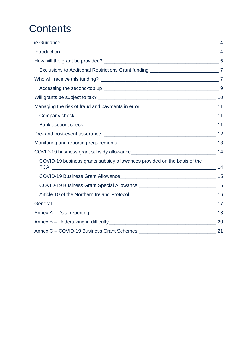# **Contents**

| Exclusions to Additional Restrictions Grant funding _____________________________7   |    |
|--------------------------------------------------------------------------------------|----|
|                                                                                      |    |
|                                                                                      |    |
|                                                                                      |    |
| Managing the risk of fraud and payments in error ________________________________ 11 |    |
|                                                                                      |    |
|                                                                                      |    |
|                                                                                      |    |
|                                                                                      |    |
|                                                                                      |    |
| COVID-19 business grants subsidy allowances provided on the basis of the             |    |
|                                                                                      |    |
|                                                                                      |    |
|                                                                                      |    |
|                                                                                      |    |
|                                                                                      |    |
|                                                                                      |    |
|                                                                                      | 21 |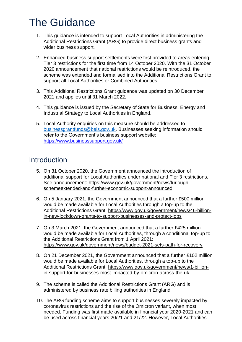# <span id="page-3-0"></span>The Guidance

- 1. This guidance is intended to support Local Authorities in administering the Additional Restrictions Grant (ARG) to provide direct business grants and wider business support.
- 2. Enhanced business support settlements were first provided to areas entering Tier 3 restrictions for the first time from 14 October 2020. With the 31 October 2020 announcement that national restrictions would be reintroduced, the scheme was extended and formalised into the Additional Restrictions Grant to support all Local Authorities or Combined Authorities.
- 3. This Additional Restrictions Grant guidance was updated on 30 December 2021 and applies until 31 March 2022.
- 4. This guidance is issued by the Secretary of State for Business, Energy and Industrial Strategy to Local Authorities in England.
- 5. Local Authority enquiries on this measure should be addressed to [businessgrantfunds@beis.gov.uk.](mailto:businessgrantfunds@beis.gov.uk) Businesses seeking information should refer to the Government's business support website: <https://www.businesssupport.gov.uk/>

### <span id="page-3-1"></span>Introduction

- 5. On 31 October 2020, the Government announced the introduction of additional support for Local Authorities under national and Tier 3 restrictions. See announcement: [https://www.gov.uk/government/news/furlough](https://www.gov.uk/government/news/furlough-scheme-extended-and-further-economic-support-announced)[schemeextended-and-further-economic-support-announced](https://www.gov.uk/government/news/furlough-scheme-extended-and-further-economic-support-announced)
- 6. On 5 January 2021, the Government announced that a further £500 million would be made available for Local Authorities through a top-up to the Additional Restrictions Grant: [https://www.gov.uk/government/news/46-billion](https://www.gov.uk/government/news/46-billion-in-new-lockdown-grants-to-support-businesses-and-protect-jobs)[in-new-lockdown-grants-to-support-businesses-and-protect-jobs](https://www.gov.uk/government/news/46-billion-in-new-lockdown-grants-to-support-businesses-and-protect-jobs)
- 7. On 3 March 2021, the Government announced that a further £425 million would be made available for Local Authorities, through a conditional top-up to the Additional Restrictions Grant from 1 April 2021: <https://www.gov.uk/government/news/budget-2021-sets-path-for-recovery>
- 8. On 21 December 2021, the Government announced that a further £102 million would be made available for Local Authorities, through a top-up to the Additional Restrictions Grant: [https://www.gov.uk/government/news/1-billion](https://www.gov.uk/government/news/1-billion-in-support-for-businesses-most-impacted-by-omicron-across-the-uk)[in-support-for-businesses-most-impacted-by-omicron-across-the-uk](https://www.gov.uk/government/news/1-billion-in-support-for-businesses-most-impacted-by-omicron-across-the-uk)
- 9. The scheme is called the Additional Restrictions Grant (ARG) and is administered by business rate billing authorities in England.
- 10.The ARG funding scheme aims to support businesses severely impacted by coronavirus restrictions and the rise of the Omicron variant, when most needed. Funding was first made available in financial year 2020-2021 and can be used across financial years 20/21 and 21/22. However, Local Authorities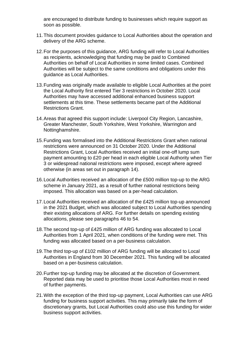are encouraged to distribute funding to businesses which require support as soon as possible.

- 11.This document provides guidance to Local Authorities about the operation and delivery of the ARG scheme.
- 12.For the purposes of this guidance, ARG funding will refer to Local Authorities as recipients, acknowledging that funding may be paid to Combined Authorities on behalf of Local Authorities in some limited cases. Combined Authorities will be subject to the same conditions and obligations under this guidance as Local Authorities.
- 13.Funding was originally made available to eligible Local Authorities at the point the Local Authority first entered Tier 3 restrictions in October 2020. Local Authorities may have accessed additional enhanced business support settlements at this time. These settlements became part of the Additional Restrictions Grant.
- 14.Areas that agreed this support include: Liverpool City Region, Lancashire, Greater Manchester, South Yorkshire, West Yorkshire, Warrington and Nottinghamshire.
- 15.Funding was formalised into the Additional Restrictions Grant when national restrictions were announced on 31 October 2020. Under the Additional Restrictions Grant, Local Authorities received an initial one-off lump sum payment amounting to £20 per head in each eligible Local Authority when Tier 3 or widespread national restrictions were imposed, except where agreed otherwise (in areas set out in paragraph 14).
- 16.Local Authorities received an allocation of the £500 million top-up to the ARG scheme in January 2021, as a result of further national restrictions being imposed. This allocation was based on a per-head calculation.
- 17.Local Authorities received an allocation of the £425 million top-up announced in the 2021 Budget, which was allocated subject to Local Authorities spending their existing allocations of ARG. For further details on spending existing allocations, please see paragraphs 46 to 54.
- 18.The second top-up of £425 million of ARG funding was allocated to Local Authorities from 1 April 2021, when conditions of the funding were met. This funding was allocated based on a per-business calculation.
- 19.The third top-up of £102 million of ARG funding will be allocated to Local Authorities in England from 30 December 2021. This funding will be allocated based on a per-business calculation.
- 20.Further top-up funding may be allocated at the discretion of Government. Reported data may be used to prioritise those Local Authorities most in need of further payments.
- 21.With the exception of the third top-up payment, Local Authorities can use ARG funding for business support activities. This may primarily take the form of discretionary grants, but Local Authorities could also use this funding for wider business support activities.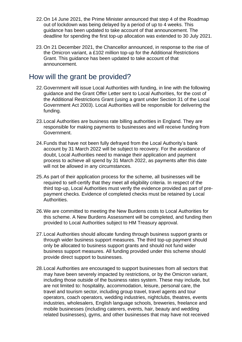- 22.On 14 June 2021, the Prime Minister announced that step 4 of the Roadmap out of lockdown was being delayed by a period of up to 4 weeks. This guidance has been updated to take account of that announcement. The deadline for spending the first top-up allocation was extended to 30 July 2021.
- 23.On 21 December 2021, the Chancellor announced, in response to the rise of the Omicron variant, a £102 million top-up for the Additional Restrictions Grant. This guidance has been updated to take account of that announcement.

### <span id="page-5-0"></span>How will the grant be provided?

- 22.Government will issue Local Authorities with funding, in line with the following guidance and the Grant Offer Letter sent to Local Authorities, for the cost of the Additional Restrictions Grant (using a grant under Section 31 of the Local Government Act 2003). Local Authorities will be responsible for delivering the funding.
- 23.Local Authorities are business rate billing authorities in England. They are responsible for making payments to businesses and will receive funding from Government.
- 24.Funds that have not been fully defrayed from the Local Authority's bank account by 31 March 2022 will be subject to recovery. For the avoidance of doubt, Local Authorities need to manage their application and payment process to achieve all spend by 31 March 2022, as payments after this date will not be allowed in any circumstances.
- 25.As part of their application process for the scheme, all businesses will be required to self-certify that they meet all eligibility criteria. In respect of the third top-up, Local Authorities must verify the evidence provided as part of prepayment checks. Evidence of completed checks must be retained by Local Authorities.
- 26.We are committed to meeting the New Burdens costs to Local Authorities for this scheme. A New Burdens Assessment will be completed, and funding then provided to Local Authorities subject to HM Treasury approval.
- 27.Local Authorities should allocate funding through business support grants or through wider business support measures. The third top-up payment should only be allocated to business support grants and should not fund wider business support measures. All funding provided under this scheme should provide direct support to businesses.
- 28.Local Authorities are encouraged to support businesses from all sectors that may have been severely impacted by restrictions, or by the Omicron variant, including those outside of the business rates system. These may include, but are not limited to: hospitality, accommodation, leisure, personal care, the travel and tourism sector, including group travel, travel agents and tour operators, coach operators, wedding industries, nightclubs, theatres, events industries, wholesalers, English language schools, breweries, freelance and mobile businesses (including caterers, events, hair, beauty and wedding related businesses), gyms, and other businesses that may have not received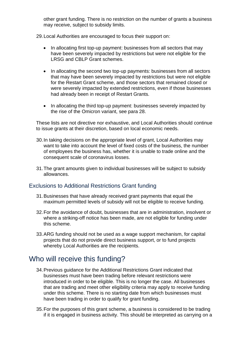other grant funding. There is no restriction on the number of grants a business may receive, subject to subsidy limits.

29.Local Authorities are encouraged to focus their support on:

- In allocating first top-up payment: businesses from all sectors that may have been severely impacted by restrictions but were not eligible for the LRSG and CBLP Grant schemes.
- In allocating the second two top-up payments: businesses from all sectors that may have been severely impacted by restrictions but were not eligible for the Restart Grant scheme, and those sectors that remained closed or were severely impacted by extended restrictions, even if those businesses had already been in receipt of Restart Grants.
- In allocating the third top-up payment: businesses severely impacted by the rise of the Omicron variant, see para 28.

These lists are not directive nor exhaustive, and Local Authorities should continue to issue grants at their discretion, based on local economic needs.

- 30.In taking decisions on the appropriate level of grant, Local Authorities may want to take into account the level of fixed costs of the business, the number of employees the business has, whether it is unable to trade online and the consequent scale of coronavirus losses.
- 31.The grant amounts given to individual businesses will be subject to subsidy allowances.

#### <span id="page-6-0"></span>Exclusions to Additional Restrictions Grant funding

- 31.Businesses that have already received grant payments that equal the maximum permitted levels of subsidy will not be eligible to receive funding.
- 32.For the avoidance of doubt, businesses that are in administration, insolvent or where a striking-off notice has been made, are not eligible for funding under this scheme.
- 33.ARG funding should not be used as a wage support mechanism, for capital projects that do not provide direct business support, or to fund projects whereby Local Authorities are the recipients.

### <span id="page-6-1"></span>Who will receive this funding?

- 34.Previous guidance for the Additional Restrictions Grant indicated that businesses must have been trading before relevant restrictions were introduced in order to be eligible. This is no longer the case. All businesses that are trading and meet other eligibility criteria may apply to receive funding under this scheme. There is no starting date from which businesses must have been trading in order to qualify for grant funding.
- 35.For the purposes of this grant scheme, a business is considered to be trading if it is engaged in business activity. This should be interpreted as carrying on a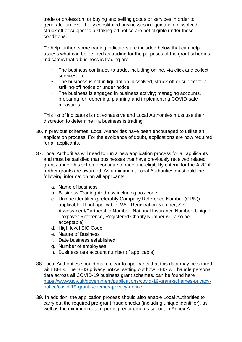trade or profession, or buying and selling goods or services in order to generate turnover. Fully constituted businesses in liquidation, dissolved, struck off or subject to a striking-off notice are not eligible under these conditions.

To help further, some trading indicators are included below that can help assess what can be defined as trading for the purposes of the grant schemes. Indicators that a business is trading are:

- The business continues to trade, including online, via click and collect services etc.
- The business is not in liquidation, dissolved, struck off or subject to a striking-off notice or under notice
- The business is engaged in business activity; managing accounts, preparing for reopening, planning and implementing COVID-safe measures

This list of indicators is not exhaustive and Local Authorities must use their discretion to determine if a business is trading.

- 36.In previous schemes, Local Authorities have been encouraged to utilise an application process. For the avoidance of doubt, applications are now required for all applicants.
- 37.Local Authorities will need to run a new application process for all applicants and must be satisfied that businesses that have previously received related grants under this scheme continue to meet the eligibility criteria for the ARG if further grants are awarded. As a minimum, Local Authorities must hold the following information on all applicants:
	- a. Name of business
	- b. Business Trading Address including postcode
	- c. Unique identifier (preferably Company Reference Number (CRN)) if applicable. If not applicable, VAT Registration Number, Self-Assessment/Partnership Number, National Insurance Number, Unique Taxpayer Reference, Registered Charity Number will also be acceptable)
	- d. High level SIC Code
	- e. Nature of Business
	- f. Date business established
	- g. Number of employees
	- h. Business rate account number (if applicable)
- 38.Local Authorities should make clear to applicants that this data may be shared with BEIS. The BEIS privacy notice, setting out how BEIS will handle personal data across all COVID-19 business grant schemes, can be found here [https://www.gov.uk/government/publications/covid-19-grant-schemes-privacy](https://www.gov.uk/government/publications/covid-19-grant-schemes-privacy-notice/covid-19-grant-schemes-privacy-notice)[notice/covid-19-grant-schemes-privacy-notice.](https://www.gov.uk/government/publications/covid-19-grant-schemes-privacy-notice/covid-19-grant-schemes-privacy-notice)
- 39. In addition, the application process should also enable Local Authorities to carry out the required pre-grant fraud checks (including unique identifier), as well as the minimum data reporting requirements set out in Annex A.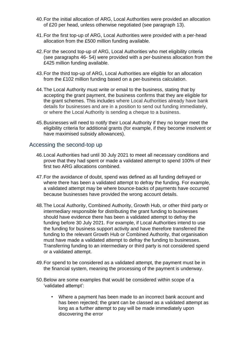- 40.For the initial allocation of ARG, Local Authorities were provided an allocation of £20 per head, unless otherwise negotiated (see paragraph 13).
- 41.For the first top-up of ARG, Local Authorities were provided with a per-head allocation from the £500 million funding available.
- 42.For the second top-up of ARG, Local Authorities who met eligibility criteria (see paragraphs 46- 54) were provided with a per-business allocation from the £425 million funding available.
- 43.For the third top-up of ARG, Local Authorities are eligible for an allocation from the £102 million funding based on a per-business calculation.
- 44.The Local Authority must write or email to the business, stating that by accepting the grant payment, the business confirms that they are eligible for the grant schemes. This includes where Local Authorities already have bank details for businesses and are in a position to send out funding immediately, or where the Local Authority is sending a cheque to a business.
- 45.Businesses will need to notify their Local Authority if they no longer meet the eligibility criteria for additional grants (for example, if they become insolvent or have maximised subsidy allowances).

#### <span id="page-8-0"></span>Accessing the second-top up

- 46.Local Authorities had until 30 July 2021 to meet all necessary conditions and prove that they had spent or made a validated attempt to spend 100% of their first two ARG allocations combined.
- 47.For the avoidance of doubt, spend was defined as all funding defrayed or where there has been a validated attempt to defray the funding. For example, a validated attempt may be where bounce-backs of payments have occurred because businesses have provided the wrong account details.
- 48.The Local Authority, Combined Authority, Growth Hub, or other third party or intermediary responsible for distributing the grant funding to businesses should have evidence there has been a validated attempt to defray the funding before 30 July 2021. For example, if Local Authorities intend to use the funding for business support activity and have therefore transferred the funding to the relevant Growth Hub or Combined Authority, that organisation must have made a validated attempt to defray the funding to businesses. Transferring funding to an intermediary or third party is not considered spend or a validated attempt.
- 49.For spend to be considered as a validated attempt, the payment must be in the financial system, meaning the processing of the payment is underway.
- 50.Below are some examples that would be considered within scope of a 'validated attempt':
	- Where a payment has been made to an incorrect bank account and has been rejected; the grant can be classed as a validated attempt as long as a further attempt to pay will be made immediately upon discovering the error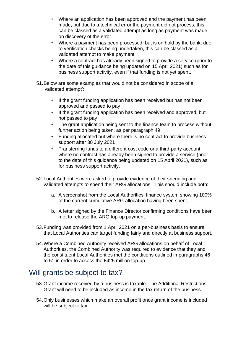- Where an application has been approved and the payment has been made, but due to a technical error the payment did not process, this can be classed as a validated attempt as long as payment was made on discovery of the error
- Where a payment has been processed, but is on hold by the bank, due to verification checks being undertaken, this can be classed as a validated attempt to make payment
- Where a contract has already been signed to provide a service (prior to the date of this guidance being updated on 15 April 2021) such as for business support activity, even if that funding is not yet spent.
- 51.Below are some examples that would not be considered in scope of a 'validated attempt':
	- If the grant funding application has been received but has not been approved and passed to pay
	- If the grant funding application has been received and approved, but not passed to pay
	- The grant application being sent to the finance team to process without further action being taken, as per paragraph 49
	- Funding allocated but where there is no contract to provide business support after 30 July 2021
	- Transferring funds to a different cost code or a third-party account, where no contract has already been signed to provide a service (prior to the date of this guidance being updated on 15 April 2021), such as for business support activity.
- 52.Local Authorities were asked to provide evidence of their spending and validated attempts to spend their ARG allocations. This should include both:
	- a. A screenshot from the Local Authorities' finance system showing 100% of the current cumulative ARG allocation having been spent;
	- b. A letter signed by the Finance Director confirming conditions have been met to release the ARG top-up payment.
- 53.Funding was provided from 1 April 2021 on a per-business basis to ensure that Local Authorities can target funding fairly and directly at business support.
- 54.Where a Combined Authority received ARG allocations on behalf of Local Authorities, the Combined Authority was required to evidence that they and the constituent Local Authorities met the conditions outlined in paragraphs 46 to 51 in order to access the £425 million top-up.

# <span id="page-9-0"></span>Will grants be subject to tax?

- 53.Grant income received by a business is taxable. The Additional Restrictions Grant will need to be included as income in the tax return of the business.
- 54.Only businesses which make an overall profit once grant income is included will be subiect to tax.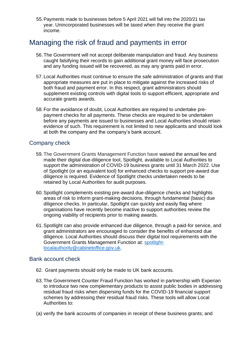55.Payments made to businesses before 5 April 2021 will fall into the 2020/21 tax year. Unincorporated businesses will be taxed when they receive the grant income.

# <span id="page-10-0"></span>Managing the risk of fraud and payments in error

- 56.The Government will not accept deliberate manipulation and fraud. Any business caught falsifying their records to gain additional grant money will face prosecution and any funding issued will be recovered, as may any grants paid in error.
- 57. Local Authorities must continue to ensure the safe administration of grants and that appropriate measures are put in place to mitigate against the increased risks of both fraud and payment error. In this respect, grant administrators should supplement existing controls with digital tools to support efficient, appropriate and accurate grants awards.
- 58.For the avoidance of doubt, Local Authorities are required to undertake prepayment checks for all payments. These checks are required to be undertaken before any payments are issued to businesses and Local Authorities should retain evidence of such. This requirement is not limited to new applicants and should look at both the company and the company's bank account.

#### <span id="page-10-1"></span>Company check

- 59.The Government Grants Management Function have waived the annual fee and made their digital due-diligence tool, Spotlight, available to Local Authorities to support the administration of COVID-19 business grants until 31 March 2022. Use of Spotlight (or an equivalent tool) for enhanced checks to support pre-award due diligence is required. Evidence of Spotlight checks undertaken needs to be retained by Local Authorities for audit purposes.
- 60.Spotlight complements existing pre-award due-diligence checks and highlights areas of risk to inform grant-making decisions, through fundamental (basic) due diligence checks. In particular, Spotlight can quickly and easily flag where organisations have recently become inactive to support authorities review the ongoing viability of recipients prior to making awards.
- 61.Spotlight can also provide enhanced due diligence, through a paid-for service, and grant administrators are encouraged to consider the benefits of enhanced due diligence. Local Authorities should discuss their digital tool requirements with the Government Grants Management Function at: [spotlight](mailto:spotlight-localauthority@cabinetoffice.gov.uk)[localauthority@cabinetoffice.gov.uk.](mailto:spotlight-localauthority@cabinetoffice.gov.uk)

#### <span id="page-10-2"></span>Bank account check

- 62. Grant payments should only be made to UK bank accounts.
- 63.The Government Counter Fraud Function has worked in partnership with Experian to introduce two new complementary products to assist public bodies in addressing residual fraud risks when dispersing funds for the COVID-19 financial support schemes by addressing their residual fraud risks. These tools will allow Local Authorities to:
- (a) verify the bank accounts of companies in receipt of these business grants; and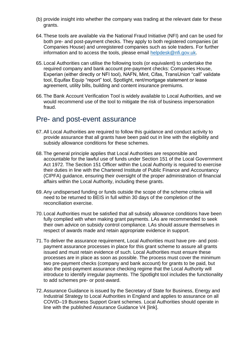- (b) provide insight into whether the company was trading at the relevant date for these grants.
- 64.These tools are available via the National Fraud Initiative (NFI) and can be used for both pre- and post-payment checks. They apply to both registered companies (at Companies House) and unregistered companies such as sole traders. For further information and to access the tools, please email [helpdesk@nfi.gov.uk.](mailto:helpdesk@nfi.gov.uk)
- 65. Local Authorities can utilise the following tools (or equivalent) to undertake the required company and bank account pre-payment checks: Companies House, Experian (either directly or NFI tool), NAFN, Mint, Cifas, TransUnion "call" validate tool, Equifax Equip "report" tool, Spotlight, rent/mortgage statement or lease agreement, utility bills, building and content insurance premiums.
- 66.The Bank Account Verification Tool is widely available to Local Authorities, and we would recommend use of the tool to mitigate the risk of business impersonation fraud.

#### <span id="page-11-0"></span>Pre- and post-event assurance

- 67.All Local Authorities are required to follow this guidance and conduct activity to provide assurance that all grants have been paid out in line with the eligibility and subsidy allowance conditions for these schemes.
- 68.The general principle applies that Local Authorities are responsible and accountable for the lawful use of funds under Section 151 of the Local Government Act 1972. The Section 151 Officer within the Local Authority is required to exercise their duties in line with the Chartered Institute of Public Finance and Accountancy (CIPFA) guidance, ensuring their oversight of the proper administration of financial affairs within the Local Authority, including these grants.
- 69.Any undispersed funding or funds outside the scope of the scheme criteria will need to be returned to BEIS in full within 30 days of the completion of the reconciliation exercise.
- 70. Local Authorities must be satisfied that all subsidy allowance conditions have been fully complied with when making grant payments. LAs are recommended to seek their own advice on subsidy control compliance. LAs should assure themselves in respect of awards made and retain appropriate evidence in support.
- 71.To deliver the assurance requirement, Local Authorities must have pre- and postpayment assurance processes in place for this grant scheme to assure all grants issued and must retain evidence of such. Local Authorities must ensure these processes are in place as soon as possible. The process must cover the minimum two pre-payment checks (company and bank account) for grants to be paid, but also the post-payment assurance checking regime that the Local Authority will introduce to identify irregular payments. The Spotlight tool includes the functionality to add schemes pre- or post-award.
- 72.Assurance Guidance is issued by the Secretary of State for Business, Energy and Industrial Strategy to Local Authorities in England and applies to assurance on all COVID–19 Business Support Grant schemes. Local Authorities should operate in line with the published Assurance Guidance V4 [link].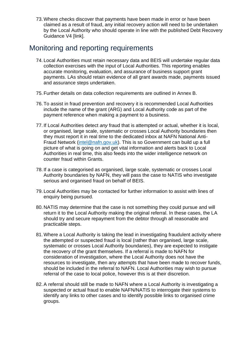73.Where checks discover that payments have been made in error or have been claimed as a result of fraud, any initial recovery action will need to be undertaken by the Local Authority who should operate in line with the published Debt Recovery Guidance V4 [link].

# <span id="page-12-0"></span>Monitoring and reporting requirements

- 74. Local Authorities must retain necessary data and BEIS will undertake regular data collection exercises with the input of Local Authorities. This reporting enables accurate monitoring, evaluation, and assurance of business support grant payments. LAs should retain evidence of all grant awards made, payments issued and assurance steps undertaken.
- 75.Further details on data collection requirements are outlined in Annex B.
- 76.To assist in fraud prevention and recovery it is recommended Local Authorities include the name of the grant (ARG) and Local Authority code as part of the payment reference when making a payment to a business.
- 77. If Local Authorities detect *any* fraud that is attempted or actual, whether it is local, or organised, large scale, systematic or crosses Local Authority boundaries then they must report it in real time to the dedicated inbox at NAFN National Anti-Fraud Network [\(intel@nafn.gov.uk\)](mailto:intel@nafn.gov.uk). This is so Government can build up a full picture of what is going on and get vital information and alerts back to Local Authorities in real time, this also feeds into the wider intelligence network on counter fraud within Grants.
- 78. If a case is categorised as organised, large scale, systematic or crosses Local Authority boundaries by NAFN, they will pass the case to NATIS who investigate serious and organised fraud on behalf of BEIS.
- 79. Local Authorities may be contacted for further information to assist with lines of enquiry being pursued.
- 80. NATIS may determine that the case is not something they could pursue and will return it to the Local Authority making the original referral. In these cases, the LA should try and secure repayment from the debtor through all reasonable and practicable steps.
- 81.Where a Local Authority is taking the lead in investigating fraudulent activity where the attempted or suspected fraud is local (rather than organised, large scale, systematic or crosses Local Authority boundaries), they are expected to instigate the recovery of the grant themselves. If a referral is made to NAFN for consideration of investigation, where the Local Authority does not have the resources to investigate, then any attempts that have been made to recover funds, should be included in the referral to NAFN. Local Authorities may wish to pursue referral of the case to local police, however this is at their discretion.
- 82.A referral should still be made to NAFN where a Local Authority is investigating a suspected or actual fraud to enable NAFN/NATIS to interrogate their systems to identify any links to other cases and to identify possible links to organised crime groups.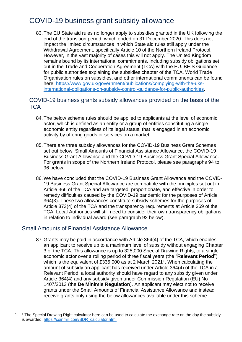# <span id="page-13-0"></span>COVID-19 business grant subsidy allowance

83.The EU State aid rules no longer apply to subsidies granted in the UK following the end of the transition period, which ended on 31 December 2020. This does not impact the limited circumstances in which State aid rules still apply under the Withdrawal Agreement, specifically Article 10 of the Northern Ireland Protocol. However, in the vast majority of cases this will not apply. The United Kingdom remains bound by its international commitments, including subsidy obligations set out in the Trade and Cooperation Agreement (TCA) with the EU. BEIS Guidance for public authorities explaining the subsidies chapter of the TCA, World Trade Organisation rules on subsidies, and other international commitments can be found here: [https://www.gov.uk/government/publications/complying-with-the-uks](https://www.gov.uk/government/publications/complying-with-the-uks-international-obligations-on-subsidy-control-guidance-for-public-authorities)[international-obligations-on-subsidy-control-guidance-for-public-authorities.](https://www.gov.uk/government/publications/complying-with-the-uks-international-obligations-on-subsidy-control-guidance-for-public-authorities)

<span id="page-13-1"></span>COVID-19 business grants subsidy allowances provided on the basis of the **TCA** 

- 84.The below scheme rules should be applied to applicants at the level of economic actor, which is defined as an entity or a group of entities constituting a single economic entity regardless of its legal status, that is engaged in an economic activity by offering goods or services on a market.
- 85.There are three subsidy allowances for the COVID-19 Business Grant Schemes set out below: Small Amounts of Financial Assistance Allowance, the COVID-19 Business Grant Allowance and the COVID-19 Business Grant Special Allowance. For grants in scope of the Northern Ireland Protocol, please see paragraphs 94 to 96 below.
- 86.We have concluded that the COVID-19 Business Grant Allowance and the COVID-19 Business Grant Special Allowance are compatible with the principles set out in Article 366 of the TCA and are targeted, proportionate, and effective in order to remedy difficulties caused by the COVID-19 pandemic for the purposes of Article 364(3). These two allowances constitute subsidy schemes for the purposes of Article 373(4) of the TCA and the transparency requirements at Article 369 of the TCA. Local Authorities will still need to consider their own transparency obligations in relation to individual award (see paragraph 92 below).

#### Small Amounts of Financial Assistance Allowance

87.Grants may be paid in accordance with Article 364(4) of the TCA, which enables an applicant to receive up to a maximum level of subsidy without engaging Chapter 3 of the TCA. This allowance is up to 325,000 Special Drawing Rights, to a single economic actor over a rolling period of three fiscal years (the "**Relevant Period**"), which is the equivalent of £335,000 as at 2 March 2021<sup>1</sup>. When calculating the amount of subsidy an applicant has received under Article 364(4) of the TCA in a Relevant Period, a local authority should have regard to any subsidy given under Article 364(4) and any subsidy given under Commission Regulation (EU) No 1407/2013 (the **De Minimis Regulation**). An applicant may elect not to receive grants under the Small Amounts of Financial Assistance Allowance and instead receive grants only using the below allowances available under this scheme.

<sup>1. &</sup>lt;sup>1</sup> The Special Drawing Right calculator here can be used to calculate the exchange rate on the day the subsidy is awarded: [https://coinmill.com/SDR\\_calculator.html](https://coinmill.com/SDR_calculator.html)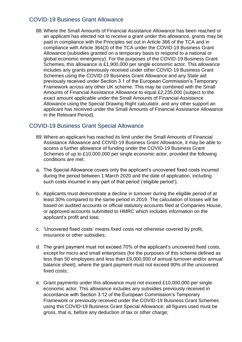#### <span id="page-14-0"></span>COVID-19 Business Grant Allowance

88.Where the Small Amounts of Financial Assistance Allowance has been reached or an applicant has elected not to receive a grant under this allowance, grants may be paid in compliance with the Principles set out in Article 366 of the TCA and in compliance with Article 364(3) of the TCA under the COVID-19 Business Grant Allowance (subsidies granted on a temporary basis to respond to a national or global economic emergency). For the purposes of the COVID-19 Business Grant Schemes, this allowance is £1,900,000 per single economic actor. This allowance includes any grants previously received under other COVID-19 Business Grant Schemes using the COVID-19 Business Grant Allowance and any State aid previously received under Section 3.1 of the European Commission's Temporary Framework across any other UK scheme. This may be combined with the Small Amounts of Financial Assistance Allowance to equal £2,235,000 (subject to the exact amount applicable under the Small Amounts of Financial Assistance Allowance using the Special Drawing Right calculator, and any other support an applicant has received under the Small Amounts of Financial Assistance Allowance in the Relevant Period).

#### <span id="page-14-1"></span>COVID-19 Business Grant Special Allowance

- 89.Where an applicant has reached its limit under the Small Amounts of Financial Assistance Allowance and COVID-19 Business Grant Allowance, it may be able to access a further allowance of funding under the COVID-19 Business Grant Schemes of up to £10,000,000 per single economic actor, provided the following conditions are met:
- a. The Special Allowance covers only the applicant's uncovered fixed costs incurred during the period between 1 March 2020 and the date of application, including such costs incurred in any part of that period ('eligible period');
- b. Applicants must demonstrate a decline in turnover during the eligible period of at least 30% compared to the same period in 2019. The calculation of losses will be based on audited accounts or official statutory accounts filed at Companies House, or approved accounts submitted to HMRC which includes information on the applicant's profit and loss;
- c. 'Uncovered fixed costs' means fixed costs not otherwise covered by profit, insurance or other subsidies;
- d. The grant payment must not exceed 70% of the applicant's uncovered fixed costs, except for micro and small enterprises (for the purposes of this scheme defined as less than 50 employees and less than £9,000,000 of annual turnover and/or annual balance sheet), where the grant payment must not exceed 90% of the uncovered fixed costs;
- e. Grant payments under this allowance must not exceed £10,000,000 per single economic actor. This allowance includes any subsidies previously received in accordance with Section 3.12 of the European Commission's Temporary Framework or previously received under the COVID-19 Business Grant Schemes using this COVID-19 Business Grant Special Allowance; all figures used must be gross, that is, before any deduction of tax or other charge;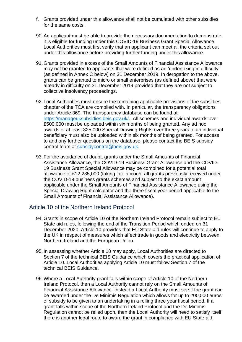- f. Grants provided under this allowance shall not be cumulated with other subsidies for the same costs.
- 90.An applicant must be able to provide the necessary documentation to demonstrate it is eligible for funding under this COVID-19 Business Grant Special Allowance. Local Authorities must first verify that an applicant can meet all the criteria set out under this allowance before providing further funding under this allowance.
- 91.Grants provided in excess of the Small Amounts of Financial Assistance Allowance may not be granted to applicants that were defined as an 'undertaking in difficulty' (as defined in Annex C below) on 31 December 2019. In derogation to the above, grants can be granted to micro or small enterprises (as defined above) that were already in difficulty on 31 December 2019 provided that they are not subject to collective insolvency proceedings.
- 92. Local Authorities must ensure the remaining applicable provisions of the subsidies chapter of the TCA are complied with. In particular, the transparency obligations under Article 369. The transparency database can be found at [https://manageuksubsidies.beis.gov.uk/.](https://manageuksubsidies.beis.gov.uk/) All schemes and individual awards over £500,000 must be uploaded within six months of being granted. Any ad hoc awards of at least 325,000 Special Drawing Rights over three years to an individual beneficiary must also be uploaded within six months of being granted. For access to and any further questions on the database, please contact the BEIS subsidy control team at [subsidycontrol@beis.gov.uk.](mailto:subsidycontrol@beis.gov.uk)
- 93.For the avoidance of doubt, grants under the Small Amounts of Financial Assistance Allowance, the COVID-19 Business Grant Allowance and the COVID-19 Business Grant Special Allowance may be combined for a potential total allowance of £12,235,000 (taking into account all grants previously received under the COVID-19 business grants schemes and subject to the exact amount applicable under the Small Amounts of Financial Assistance Allowance using the Special Drawing Right calculator and the three fiscal year period applicable to the Small Amounts of Financial Assistance Allowance).

#### <span id="page-15-0"></span>Article 10 of the Northern Ireland Protocol

- 94.Grants in scope of Article 10 of the Northern Ireland Protocol remain subject to EU State aid rules, following the end of the Transition Period which ended on 31 December 2020. Article 10 provides that EU State aid rules will continue to apply to the UK in respect of measures which affect trade in goods and electricity between Northern Ireland and the European Union.
- 95. In assessing whether Article 10 may apply, Local Authorities are directed to Section 7 of the technical BEIS Guidance which covers the practical application of Article 10. Local Authorities applying Article 10 must follow Section 7 of the technical BEIS Guidance.
- 96.Where a Local Authority grant falls within scope of Article 10 of the Northern Ireland Protocol, then a Local Authority cannot rely on the Small Amounts of Financial Assistance Allowance. Instead a Local Authority must see if the grant can be awarded under the De Minimis Regulation which allows for up to 200,000 euros of subsidy to be given to an undertaking in a rolling three year fiscal period. If a grant falls within scope of the Northern Ireland Protocol and the De Minimis Regulation cannot be relied upon, then the Local Authority will need to satisfy itself there is another legal route to award the grant in compliance with EU State aid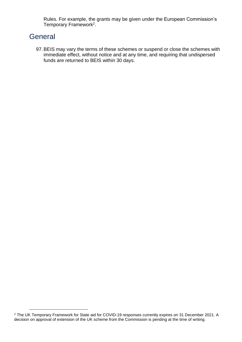Rules. For example, the grants may be given under the European Commission's Temporary Framework<sup>2</sup>.

# <span id="page-16-0"></span>**General**

97.BEIS may vary the terms of these schemes or suspend or close the schemes with immediate effect, without notice and at any time, and requiring that undispersed funds are returned to BEIS within 30 days.

<sup>2</sup> The UK Temporary Framework for State aid for COVID-19 responses currently expires on 31 December 2021. A decision on approval of extension of the UK scheme from the Commission is pending at the time of writing.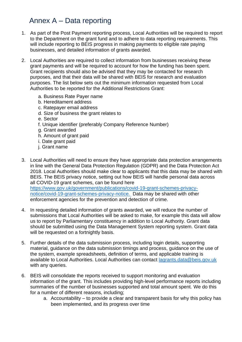# Annex A – Data reporting

- <span id="page-17-0"></span>1. As part of the Post Payment reporting process, Local Authorities will be required to report to the Department on the grant fund and to adhere to data reporting requirements. This will include reporting to BEIS progress in making payments to eligible rate paying businesses, and detailed information of grants awarded.
- 2. Local Authorities are required to collect information from businesses receiving these grant payments and will be required to account for how the funding has been spent. Grant recipients should also be advised that they may be contacted for research purposes, and that their data will be shared with BEIS for research and evaluation purposes. The list below sets out the minimum information requested from Local Authorities to be reported for the Additional Restrictions Grant:
	- a. Business Rate Payer name
	- b. Hereditament address
	- c. Ratepayer email address
	- d. Size of business the grant relates to
	- e. Sector
	- f. Unique identifier (preferably Company Reference Number)
	- g. Grant awarded
	- h. Amount of grant paid
	- i. Date grant paid
	- j. Grant name
- 3. Local Authorities will need to ensure they have appropriate data protection arrangements in line with the General Data Protection Regulation (GDPR) and the Data Protection Act 2018. Local Authorities should make clear to applicants that this data may be shared with BEIS. The BEIS privacy notice, setting out how BEIS will handle personal data across all COVID-19 grant schemes, can be found here [https://www.gov.uk/government/publications/covid-19-grant-schemes-privacy](https://www.gov.uk/government/publications/covid-19-grant-schemes-privacy-notice/covid-19-grant-schemes-privacy-notice)[notice/covid-19-grant-schemes-privacy-notice.](https://www.gov.uk/government/publications/covid-19-grant-schemes-privacy-notice/covid-19-grant-schemes-privacy-notice) Data may be shared with other enforcement agencies for the prevention and detection of crime.
- 4. In requesting detailed information of grants awarded, we will reduce the number of submissions that Local Authorities will be asked to make, for example this data will allow us to report by Parliamentary constituency in addition to Local Authority. Grant data should be submitted using the Data Management System reporting system. Grant data will be requested on a fortnightly basis.
- 5. Further details of the data submission process, including login details, supporting material, guidance on the data submission timings and process, guidance on the use of the system, example spreadsheets, definition of terms, and applicable training is available to Local Authorities. Local Authorities can contact [lagrants.data@beis.gov.uk](mailto:lagrants.data@beis.gov.uk) with any queries.
- 6. BEIS will consolidate the reports received to support monitoring and evaluation information of the grant. This includes providing high-level performance reports including summaries of the number of businesses supported and total amount spent. We do this for a number of different reasons, including;
	- a. Accountability to provide a clear and transparent basis for why this policy has been implemented, and its progress over time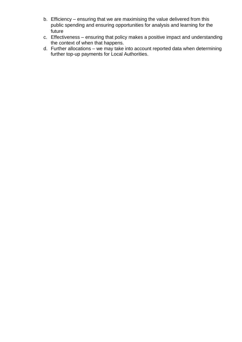- b. Efficiency ensuring that we are maximising the value delivered from this public spending and ensuring opportunities for analysis and learning for the future
- c. Effectiveness ensuring that policy makes a positive impact and understanding the context of when that happens.
- d. Further allocations we may take into account reported data when determining further top-up payments for Local Authorities.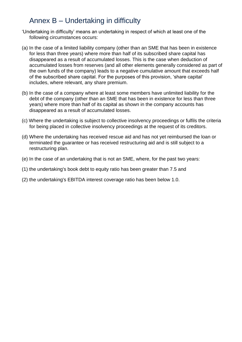# Annex B – Undertaking in difficulty

- <span id="page-19-0"></span>'Undertaking in difficulty' means an undertaking in respect of which at least one of the following circumstances occurs:
- (a) In the case of a limited liability company (other than an SME that has been in existence for less than three years) where more than half of its subscribed share capital has disappeared as a result of accumulated losses. This is the case when deduction of accumulated losses from reserves (and all other elements generally considered as part of the own funds of the company) leads to a negative cumulative amount that exceeds half of the subscribed share capital. For the purposes of this provision, 'share capital' includes, where relevant, any share premium.
- (b) In the case of a company where at least some members have unlimited liability for the debt of the company (other than an SME that has been in existence for less than three years) where more than half of its capital as shown in the company accounts has disappeared as a result of accumulated losses.
- (c) Where the undertaking is subject to collective insolvency proceedings or fulfils the criteria for being placed in collective insolvency proceedings at the request of its creditors.
- (d) Where the undertaking has received rescue aid and has not yet reimbursed the loan or terminated the guarantee or has received restructuring aid and is still subject to a restructuring plan.
- (e) In the case of an undertaking that is not an SME, where, for the past two years:
- (1) the undertaking's book debt to equity ratio has been greater than 7.5 and
- (2) the undertaking's EBITDA interest coverage ratio has been below 1.0.